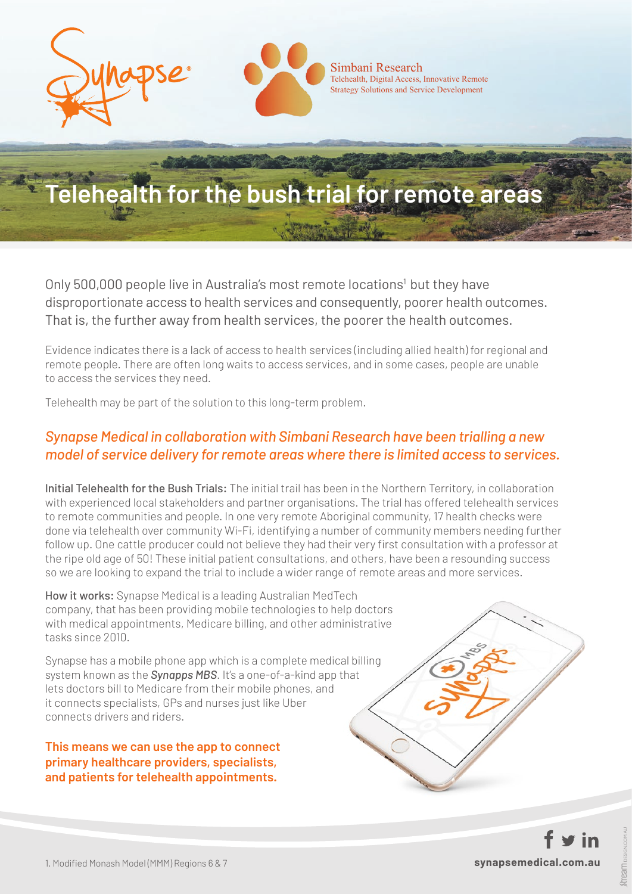

# **Telehealth for the bush trial for remote areas**

Only 500,000 people live in Australia's most remote locations<sup>1</sup> but they have disproportionate access to health services and consequently, poorer health outcomes. That is, the further away from health services, the poorer the health outcomes.

Evidence indicates there is a lack of access to health services (including allied health) for regional and remote people. There are often long waits to access services, and in some cases, people are unable to access the services they need.

Telehealth may be part of the solution to this long-term problem.

### *Synapse Medical in collaboration with Simbani Research have been trialling a new model of service delivery for remote areas where there is limited access to services.*

Initial Telehealth for the Bush Trials: The initial trail has been in the Northern Territory, in collaboration with experienced local stakeholders and partner organisations. The trial has offered telehealth services to remote communities and people. In one very remote Aboriginal community, 17 health checks were done via telehealth over community Wi-Fi, identifying a number of community members needing further follow up. One cattle producer could not believe they had their very first consultation with a professor at the ripe old age of 50! These initial patient consultations, and others, have been a resounding success so we are looking to expand the trial to include a wider range of remote areas and more services.

How it works: Synapse Medical is a leading Australian MedTech company, that has been providing mobile technologies to help doctors with medical appointments, Medicare billing, and other administrative tasks since 2010.

Synapse has a mobile phone app which is a complete medical billing system known as the *Synapps MBS*. It's a one-of-a-kind app that lets doctors bill to Medicare from their mobile phones, and it connects specialists, GPs and nurses just like Uber connects drivers and riders.

**This means we can use the app to connect primary healthcare providers, specialists, and patients for telehealth appointments.**